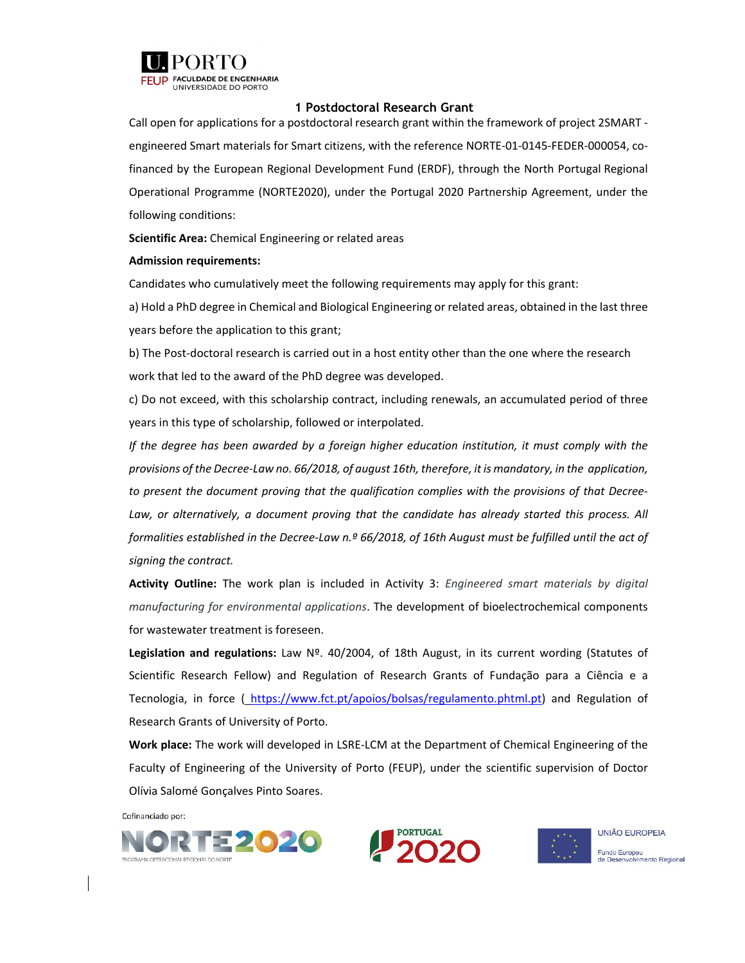

# **1 Postdoctoral Research Grant**

Call open for applications for a postdoctoral research grant within the framework of project 2SMART ‐ engineered Smart materials for Smart citizens, with the reference NORTE‐01‐0145‐FEDER‐000054, co‐ financed by the European Regional Development Fund (ERDF), through the North Portugal Regional Operational Programme (NORTE2020), under the Portugal 2020 Partnership Agreement, under the following conditions:

**Scientific Area:** Chemical Engineering or related areas

#### **Admission requirements:**

Candidates who cumulatively meet the following requirements may apply for this grant:

a) Hold a PhD degree in Chemical and Biological Engineering or related areas, obtained in the last three years before the application to this grant;

b) The Post-doctoral research is carried out in a host entity other than the one where the research work that led to the award of the PhD degree was developed.

c) Do not exceed, with this scholarship contract, including renewals, an accumulated period of three years in this type of scholarship, followed or interpolated.

*If the degree has been awarded by a foreign higher education institution, it must comply with the* provisions of the Decree-Law no. 66/2018, of august 16th, therefore, it is mandatory, in the application, *to present the document proving that the qualification complies with the provisions of that Decree‐ Law, or alternatively, a document proving that the candidate has already started this process. All* formalities established in the Decree-Law n.º 66/2018, of 16th August must be fulfilled until the act of *signing the contract.*

**Activity Outline:** The work plan is included in Activity 3: *Engineered smart materials by digital manufacturing for environmental applications*. The development of bioelectrochemical components for wastewater treatment is foreseen.

**Legislation and regulations:** Law Nº. 40/2004, of 18th August, in its current wording (Statutes of Scientific Research Fellow) and Regulation of Research Grants of Fundação para a Ciência e a Tecnologia, in force ( https://www.fct.pt/apoios/bolsas/regulamento.phtml.pt) and Regulation of Research Grants of University of Porto.

**Work place:** The work will developed in LSRE‐LCM at the Department of Chemical Engineering of the Faculty of Engineering of the University of Porto (FEUP), under the scientific supervision of Doctor Olívia Salomé Gonçalves Pinto Soares.

Cofinanciado por:





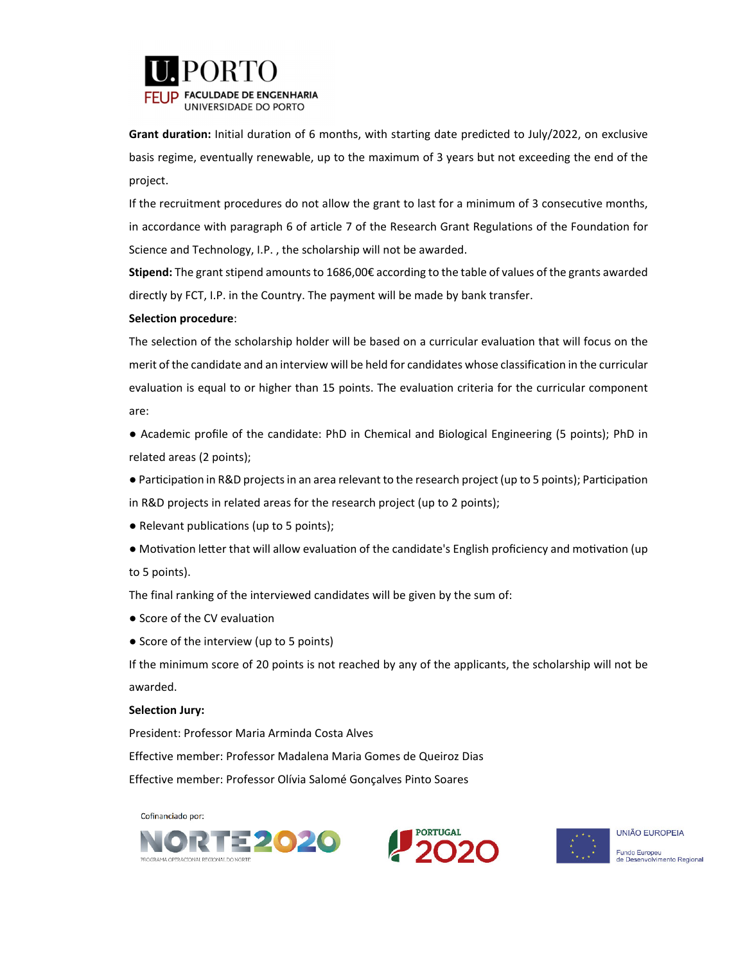

 **Grant duration:** Initial duration of <sup>6</sup> months, with starting date predicted to July/2022, on exclusive basis regime, eventually renewable, up to the maximum of 3 years but not exceeding the end of the project.

If the recruitment procedures do not allow the grant to last for a minimum of 3 consecutive months, in accordance with paragraph 6 of article 7 of the Research Grant Regulations of the Foundation for Science and Technology, I.P. , the scholarship will not be awarded.

**Stipend:** The grant stipend amounts to 1686,00€ according to the table of values of the grants awarded directly by FCT, I.P. in the Country. The payment will be made by bank transfer.

### **Selection procedure**:

The selection of the scholarship holder will be based on a curricular evaluation that will focus on the merit of the candidate and an interview will be held for candidates whose classification in the curricular evaluation is equal to or higher than 15 points. The evaluation criteria for the curricular component are:

● Academic profile of the candidate: PhD in Chemical and Biological Engineering (5 points); PhD in related areas (2 points);

• Participation in R&D projects in an area relevant to the research project (up to 5 points); Participation in R&D projects in related areas for the research project (up to 2 points);

- Relevant publications (up to 5 points);
- Motivation letter that will allow evaluation of the candidate's English proficiency and motivation (up to 5 points).

The final ranking of the interviewed candidates will be given by the sum of:

- Score of the CV evaluation
- Score of the interview (up to 5 points)

If the minimum score of 20 points is not reached by any of the applicants, the scholarship will not be awarded.

#### **Selection Jury:**

President: Professor Maria Arminda Costa Alves

Effective member: Professor Madalena Maria Gomes de Queiroz Dias

Effective member: Professor Olívia Salomé Gonçalves Pinto Soares

Cofinanciado por: